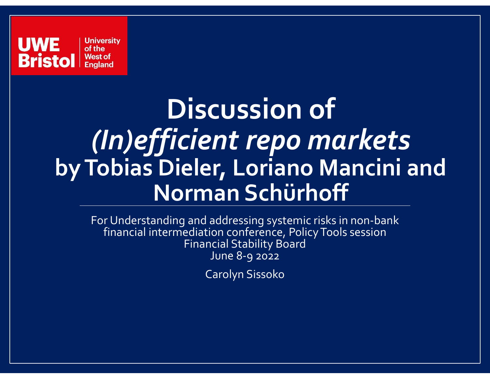

#### Discussion of (In)efficient repo markets by Tobias Dieler, Loriano Mancini and Norman Schürhoff

For Understanding and addressing systemic risks in non-bank financial intermediation conference, Policy Tools session Financial Stability Board June 8-9 2022

Carolyn Sissoko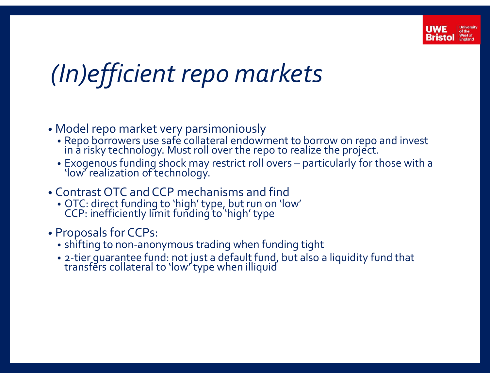

#### (In)efficient repo markets

- Model repo market very parsimoniously
	- Repo borrowers use safe collateral endowment to borrow on repo and invest in a risky technology. Must roll over the repo to realize the project.
- **Exogenous Funding Shock may restrict controlly and the Controlly Controlly Controlly Controlly Controlly the project.**<br>
 Repo borrowers use safe collateral endowment to borrow on repo and invest<br>
in a risky technology.
- Contrast OTC and CCP mechanisms and find
	- OTC: direct funding to 'high' type, but run on 'low' CCP: inefficiently limit funding to 'high' type
- Proposals for CCPs:
	- shifting to non-anonymous trading when funding tight
	- 2-tier guarantee fund: not just a default fund, but also a liquidity fund that transfers collateral to 'low' type when illiquid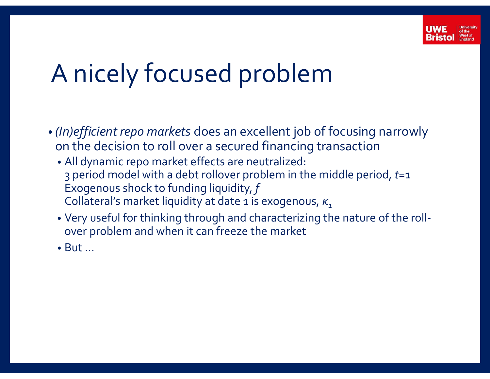

### A nicely focused problem

- (In)efficient repo markets does an excellent job of focusing narrowly on the decision to roll over a secured financing transaction
	- All dynamic repo market effects are neutralized: 3 period model with a debt rollover problem in the middle period,  $t=1$ Exogenous shock to funding liquidity, f Collateral's market liquidity at date 1 is exogenous,  $\kappa$ ,
	- Very useful for thinking through and characterizing the nature of the rollover problem and when it can freeze the market
	- But …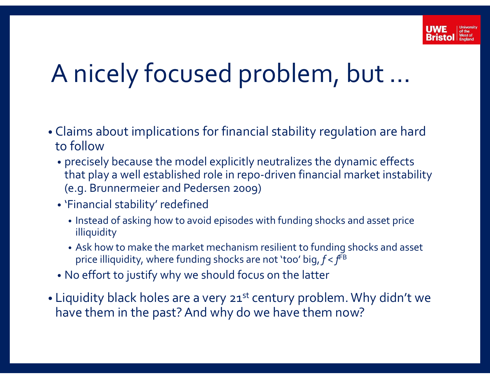

### A nicely focused problem, but …

- Claims about implications for financial stability regulation are hard to follow
- precisely because the model explicitly neutralizes the dynamic effects that play a well established role in repo-driven financial market instability (e.g. **Produce 1)**<br>
(e.g. Brunners about implications for financial stability regulation<br>
precisely because the model explicitly neutralizes the dynan<br>
that play a well established role in repo-driven financial mar<br>
(e.g.
	- 'Financial stability' redefined
		- Instead of asking how to avoid episodes with funding shocks and asset price illiquidity
		- Ask how to make the market mechanism resilient to funding shocks and asset price illiquidity, where funding shocks are not 'too' big,  $f < f<sup>FB</sup>$
	- No effort to justify why we should focus on the latter
- Liquidity black holes are a very 21<sup>st</sup> century problem. Why didn't we have them in the past? And why do we have them now?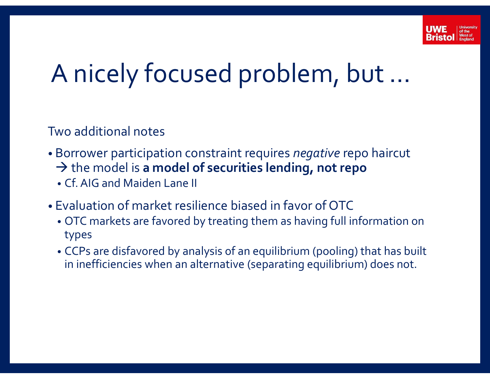

### A nicely focused problem, but …

Two additional notes

- Borrower participation constraint requires *negative* repo haircut  $\rightarrow$  the model is a model of securities lending, not repo
	- Cf. AIG and Maiden Lane II
- Evaluation of market resilience biased in favor of OTC
	- OTC markets are favored by treating them as having full information on types
	- CCPs are disfavored by analysis of an equilibrium (pooling) that has built in inefficiencies when an alternative (separating equilibrium) does not.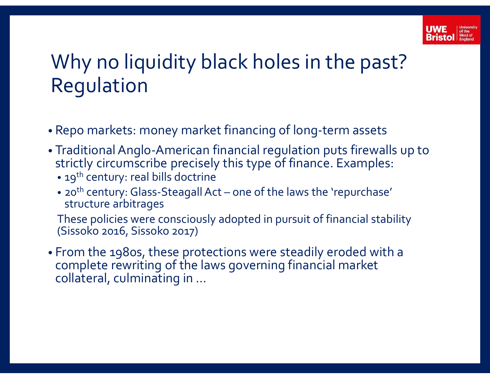

# Why no liquidity black holes in the past? Regulation Why no liquidity black holes in the past?<br>Regulation<br>Repo markets: money market financing of long-term assets<br>Traditional Anglo-American financial regulation puts firewalls up to<br>strictly circumscribe precisely this type o

- Repo markets: money market financing of long-term assets
- Traditional Anglo-American financial regulation puts firewalls up to strictly circumscribe precisely this type of finance. Examples:
	- 19<sup>th</sup> century: real bills doctrine
	- 20<sup>th</sup> century: Glass-Steagall Act one of the laws the 'repurchase' structure arbitrages

These policies were consciously adopted in pursuit of financial stability (Sissoko 2016, Sissoko 2017)

• From the 1980s, these protections were steadily eroded with a complete rewriting of the laws governing financial market collateral, culminating in …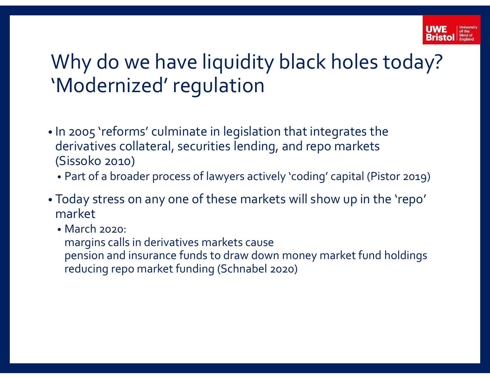

# Why do we have liquidity black holes today? 'Modernized' regulation with Why do we have liquidity black holes today?<br>
Modernized' regulation<br>
In 2005 'reforms' culminate in legislation that integrates the<br>
derivatives collateral, securities lending, and repo markets<br>
(Sissoko 2010)<br>
Foday

- In 2005 'reforms' culminate in legislation that integrates the derivatives collateral, securities lending, and repo markets (Sissoko 2010)
	-
- Today stress on any one of these markets will show up in the 'repo' market
	- March 2020:
	- margins calls in derivatives markets cause
	- pension and insurance funds to draw down money market fund holdings reducing repo market funding (Schnabel 2020)